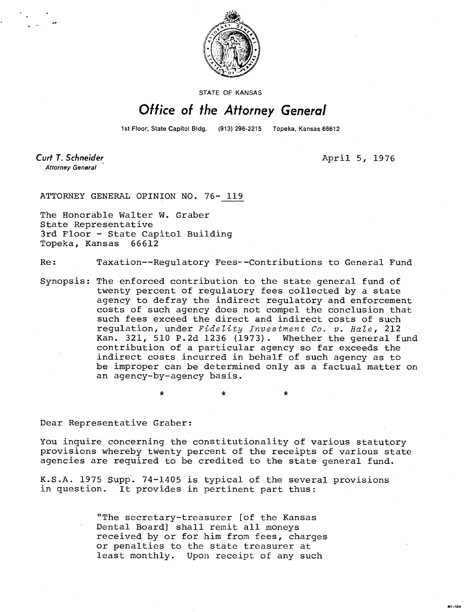

**STATE OF KANSAS** 

## Office of the Attorney General

1st Floor, State Capitol Bldg. (913) 296-2215 Topeka, Kansas 66612

Curt T. Schneider **Attorney General** 

April 5, 1976

ATTORNEY GENERAL OPINION NO. 76- 119

The Honorable Walter W. Graber State Representative 3rd Floor - State Capitol Building Topeka, Kansas 66612

Re: Taxation--Regulatory Fees--Contributions to General Fund

Synopsis: The enforced contribution to the state general fund of twenty percent of regulatory fees collected by a state agency to defray the indirect regulatory and enforcement costs of such agency does not compel the conclusion that such fees exceed the direct and indirect costs of such regulation, under Fidelity Investment Co. v. Hale, 212 Kan. 321, 510 P.2d 1236 (1973). Whether the general fund contribution of a particular agency so far exceeds the indirect costs incurred in behalf of such agency as to be improper can be determined only as a factual matter on an agency-by-agency basis.

Dear Representative Graber:

÷.

You inquire concerning the constitutionality of various statutory provisions whereby twenty percent of the receipts of various state agencies are required to be credited to the state general fund.

K.S.A. 1975 Supp. 74-1405 is typical of the several provisions in question. It provides in pertinent part thus:

> "The secretary-treasurer [of the Kansas Dental Board] shall remit all moneys received by or for him from fees, charges or penalties to the state treasurer at least monthly. Upon receipt of any such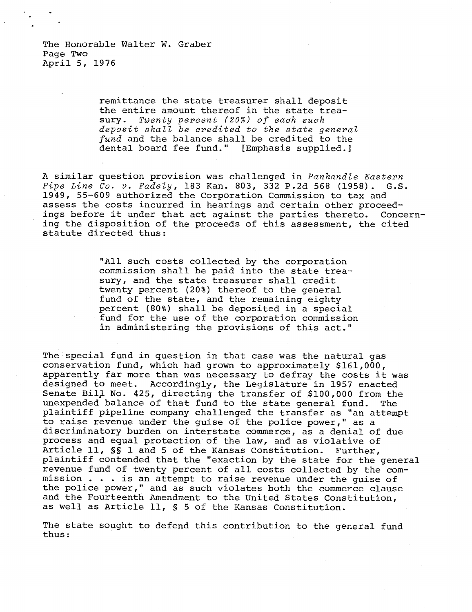The Honorable Walter W. Graber Page Two April 5, 1976

> remittance the state treasurer shall deposit the entire amount thereof in the state treasury. Twenty percent (20%) of each such deposit shall be credited to the state general fund and the balance shall be credited to the dental board fee fund." [Emphasis supplied.]

A similar question provision was challenged in Panhandle Eastern Pipe Line Co. v. Fadely, 183 Kan. 803, 332 P.2d 568 (1958). G.S. 1949, 55-609 authorized the Corporation Commission to tax and assess the costs incurred in hearings and certain other proceedings before it under that act against the parties thereto. Concerning the disposition of the proceeds of this assessment, the cited statute directed thus:

> "All such costs collected by the corporation commission shall be paid into the state treasury, and the state treasurer shall credit twenty percent (20%) thereof to the general fund of the state, and the remaining eighty percent (80%) shall be deposited in a special fund for the use of the corporation commission in administering the provisions of this act."

The special fund in question in that case was the natural gas conservation fund, which had grown to approximately \$161,000, apparently far more than was necessary to defray the costs it was designed to meet. Accordingly, the Legislature in 1957 enacted Senate Bill No. 425, directing the transfer of \$100,000 from the unexpended balance of that fund to the state general fund. The plaintiff pipeline company challenged the transfer as "an attempt to raise revenue under the guise of the police power," as a discriminatory burden on interstate commerce, as a denial of due process and equal protection of the law, and as violative of Article 11, §S 1 and 5 of the Kansas Constitution. Further, plaintiff contended that the "exaction by the state for the general revenue fund of twenty percent of all costs collected by the commission . . . is an attempt to raise revenue under the guise of the police power," and as such violates both the commerce clause and the Fourteenth Amendment to the United States Constitution, as well as Article 11, § 5 of the Kansas Constitution.

The state sought to defend this contribution to the general fund thus: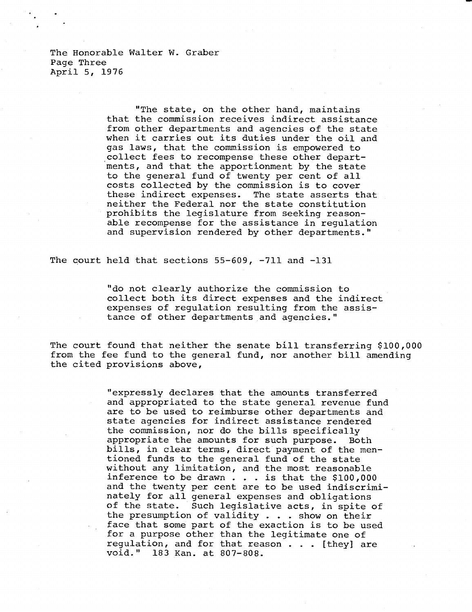The Honorable Walter W. Graber Page Three April 5, 1976

> "The state, on the other hand, maintains that the commission receives indirect assistance from other departments and agencies of the state when it carries out its duties under the oil and gas laws, that the commission is empowered to . collect fees to recompense these other departments, and that the apportionment by the state to the general fund of twenty per cent of all costs collected by the commission is to cover these indirect expenses. The state asserts that neither the Federal nor the state constitution prohibits the legislature from seeking reasonable recompense for the assistance in regulation and supervision rendered by other departments."

The court held that sections 55-609, -711 and -131

"do not clearly authorize the commission to collect both its direct expenses and the indirect expenses of regulation resulting from the assistance of other departments and agencies."

The court found that neither the senate bill transferring \$100,000 from the fee fund to the general fund, nor another bill amending the cited provisions above,

> "expressly declares that the amounts transferred and appropriated to the state general revenue fund are to be used to reimburse other departments and state agencies for indirect assistance rendered the commission, nor do the bills specifically appropriate the amounts for such purpose. Both bills, in clear terms, direct payment of the mentioned funds to the general fund of the state without any limitation, and the most reasonable inference to be drawn . . . is that the \$100,000 and the twenty per cent are to be used indiscriminately for all general expenses and obligations of the state. Such legislative acts, in spite of the presumption of validity . . . show on their face that some part of the exaction is to be used for a purpose other than the legitimate one of regulation, and for that reason . . . [they] are void." 183 Kan. at 807-808.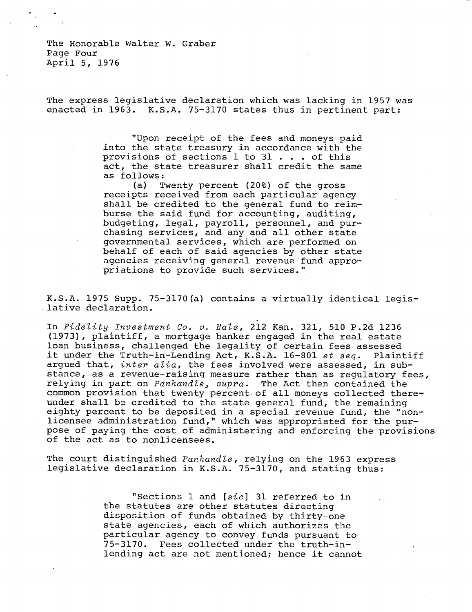The Honorable Walter W. Graber Page Four April 5, 1976

The express legislative declaration which was lacking in 1957 was enacted in 1963. K.S.A. 75-3170 states thus in pertinent part:

> "Upon receipt of the fees and moneys paid into the state treasury in accordance with the provisions of sections 1 to 31 . . . of this act, the state treasurer shall credit the same as follows:

> (a) Twenty percent (20%) of the gross receipts received from each particular agency shall be credited to the general fund to reimburse the said fund for accounting, auditing, budgeting, legal, payroll, personnel, and purchasing services, and any and all other state governmental services, which are performed on behalf of each of said agencies by other state agencies receiving general revenue fund appropriations to provide such services."

K.S.A. 1975 Supp. 75-3170(a) contains a virtually identical legislative declaration.

In Fidelity Investment Co. v. Hale, 212 Kan. 321, 510 P.2d 1236 (1973), plaintiff, a mortgage banker engaged in the real estate loan business, challenged the legality of certain fees assessed it under the Truth-in-Lending Act, K.S.A. 16-801 et seq. Plaintiff argued that,  $inter$  alia, the fees involved were assessed, in substance, as a revenue-raising measure rather than as regulatory fees, relying in part on *Panhandle*, supra. The Act then contained the common provision that twenty percent. of all moneys collected thereunder shall be credited to the state general fund, the remaining eighty percent to be deposited in a special revenue fund, the "nonlicensee administration fund," which was appropriated for the purpose of paying the cost of administering and enforcing the provisions of the act as to nonlicensees.

The court distinguished Panhandle, relying on the 1963 express legislative declaration in K.S.A. 75-3170, and stating thus:

> "Sections 1 and [sic] 31 referred to in the statutes are other statutes directing disposition of funds obtained by thirty-one state agencies, each of which authorizes the particular agency to convey funds pursuant to 75-3170. Fees collected under the truth-inlending act are not mentioned; hence it cannot